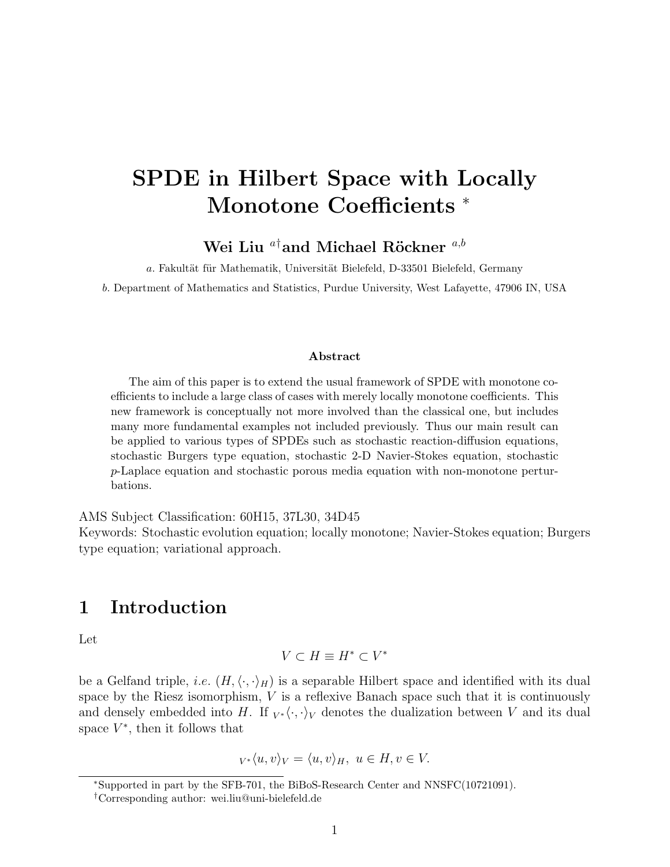# SPDE in Hilbert Space with Locally Monotone Coefficients <sup>∗</sup>

Wei Liu $^{a\dagger}$ and Michael Röckner $^{a,b}$ 

a. Fakultät für Mathematik, Universität Bielefeld, D-33501 Bielefeld, Germany

b. Department of Mathematics and Statistics, Purdue University, West Lafayette, 47906 IN, USA

#### Abstract

The aim of this paper is to extend the usual framework of SPDE with monotone coefficients to include a large class of cases with merely locally monotone coefficients. This new framework is conceptually not more involved than the classical one, but includes many more fundamental examples not included previously. Thus our main result can be applied to various types of SPDEs such as stochastic reaction-diffusion equations, stochastic Burgers type equation, stochastic 2-D Navier-Stokes equation, stochastic p-Laplace equation and stochastic porous media equation with non-monotone perturbations.

AMS Subject Classification: 60H15, 37L30, 34D45

Keywords: Stochastic evolution equation; locally monotone; Navier-Stokes equation; Burgers type equation; variational approach.

#### 1 Introduction

Let

$$
V\subset H\equiv H^*\subset V^*
$$

be a Gelfand triple, *i.e.*  $(H, \langle \cdot, \cdot \rangle_H)$  is a separable Hilbert space and identified with its dual space by the Riesz isomorphism,  $V$  is a reflexive Banach space such that it is continuously and densely embedded into H. If  $_{V^*}\langle \cdot, \cdot \rangle_V$  denotes the dualization between V and its dual space  $V^*$ , then it follows that

$$
V^*\langle u, v \rangle_V = \langle u, v \rangle_H, \ u \in H, v \in V.
$$

<sup>∗</sup>Supported in part by the SFB-701, the BiBoS-Research Center and NNSFC(10721091).

<sup>†</sup>Corresponding author: wei.liu@uni-bielefeld.de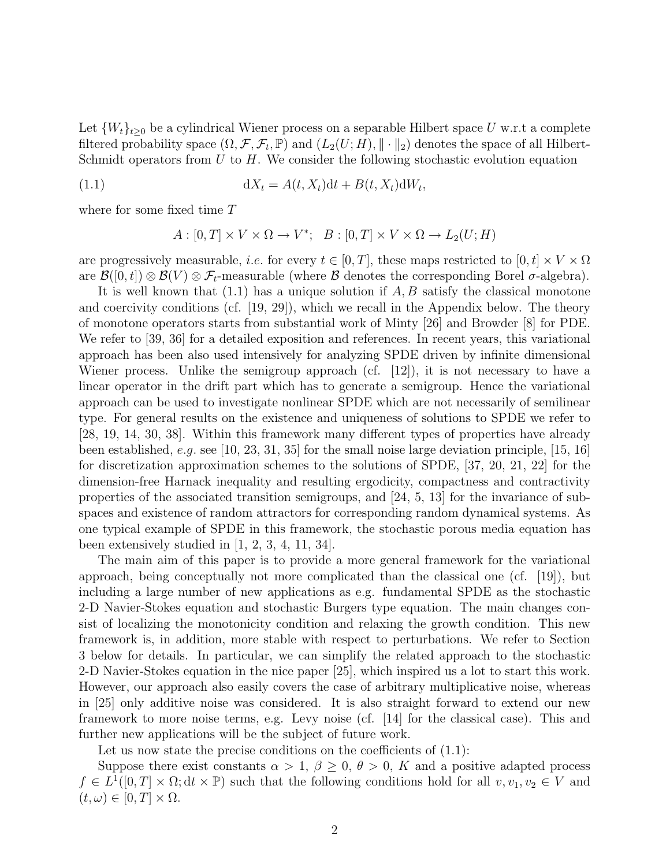Let  $\{W_t\}_{t>0}$  be a cylindrical Wiener process on a separable Hilbert space U w.r.t a complete filtered probability space  $(\Omega, \mathcal{F}, \mathcal{F}_t, \mathbb{P})$  and  $(L_2(U; H), \|\cdot\|_2)$  denotes the space of all Hilbert-Schmidt operators from  $U$  to  $H$ . We consider the following stochastic evolution equation

(1.1) 
$$
dX_t = A(t, X_t)dt + B(t, X_t)dW_t,
$$

where for some fixed time T

$$
A: [0, T] \times V \times \Omega \to V^*; \quad B: [0, T] \times V \times \Omega \to L_2(U; H)
$$

are progressively measurable, *i.e.* for every  $t \in [0, T]$ , these maps restricted to  $[0, t] \times V \times \Omega$ are  $\mathcal{B}([0,t]) \otimes \mathcal{B}(V) \otimes \mathcal{F}_t$ -measurable (where  $\mathcal B$  denotes the corresponding Borel  $\sigma$ -algebra).

It is well known that  $(1.1)$  has a unique solution if  $A, B$  satisfy the classical monotone and coercivity conditions (cf. [19, 29]), which we recall in the Appendix below. The theory of monotone operators starts from substantial work of Minty [26] and Browder [8] for PDE. We refer to [39, 36] for a detailed exposition and references. In recent years, this variational approach has been also used intensively for analyzing SPDE driven by infinite dimensional Wiener process. Unlike the semigroup approach (cf.  $[12]$ ), it is not necessary to have a linear operator in the drift part which has to generate a semigroup. Hence the variational approach can be used to investigate nonlinear SPDE which are not necessarily of semilinear type. For general results on the existence and uniqueness of solutions to SPDE we refer to [28, 19, 14, 30, 38]. Within this framework many different types of properties have already been established, e.g. see [10, 23, 31, 35] for the small noise large deviation principle, [15, 16] for discretization approximation schemes to the solutions of SPDE, [37, 20, 21, 22] for the dimension-free Harnack inequality and resulting ergodicity, compactness and contractivity properties of the associated transition semigroups, and [24, 5, 13] for the invariance of subspaces and existence of random attractors for corresponding random dynamical systems. As one typical example of SPDE in this framework, the stochastic porous media equation has been extensively studied in [1, 2, 3, 4, 11, 34].

The main aim of this paper is to provide a more general framework for the variational approach, being conceptually not more complicated than the classical one (cf. [19]), but including a large number of new applications as e.g. fundamental SPDE as the stochastic 2-D Navier-Stokes equation and stochastic Burgers type equation. The main changes consist of localizing the monotonicity condition and relaxing the growth condition. This new framework is, in addition, more stable with respect to perturbations. We refer to Section 3 below for details. In particular, we can simplify the related approach to the stochastic 2-D Navier-Stokes equation in the nice paper [25], which inspired us a lot to start this work. However, our approach also easily covers the case of arbitrary multiplicative noise, whereas in [25] only additive noise was considered. It is also straight forward to extend our new framework to more noise terms, e.g. Levy noise (cf. [14] for the classical case). This and further new applications will be the subject of future work.

Let us now state the precise conditions on the coefficients of  $(1.1)$ :

Suppose there exist constants  $\alpha > 1, \beta \geq 0, \theta > 0, K$  and a positive adapted process  $f \in L^1([0,T] \times \Omega; dt \times \mathbb{P})$  such that the following conditions hold for all  $v, v_1, v_2 \in V$  and  $(t, \omega) \in [0, T] \times \Omega.$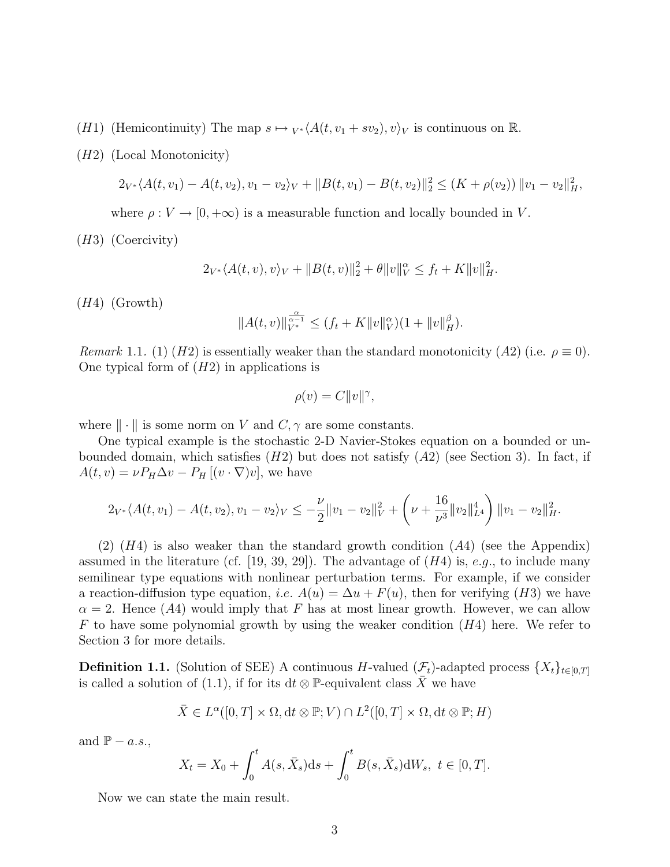- (H1) (Hemicontinuity) The map  $s \mapsto {}_{V^*}\langle A(t, v_1 + sv_2), v\rangle_V$  is continuous on R.
- (H2) (Local Monotonicity)

$$
2_{V^*}\langle A(t, v_1) - A(t, v_2), v_1 - v_2 \rangle_V + ||B(t, v_1) - B(t, v_2)||_2^2 \le (K + \rho(v_2)) ||v_1 - v_2||_H^2,
$$

where  $\rho: V \to [0, +\infty)$  is a measurable function and locally bounded in V.

(H3) (Coercivity)

$$
2_{V^*} \langle A(t, v), v \rangle_V + ||B(t, v)||_2^2 + \theta ||v||_V^{\alpha} \le f_t + K ||v||_H^2.
$$

(H4) (Growth)

$$
||A(t,v)||_{V^*}^{\frac{\alpha}{\alpha-1}} \le (f_t + K||v||_V^{\alpha})(1 + ||v||_H^{\beta}).
$$

Remark 1.1. (1) (H2) is essentially weaker than the standard monotonicity (A2) (i.e.  $\rho \equiv 0$ ). One typical form of  $(H2)$  in applications is

$$
\rho(v) = C ||v||^{\gamma},
$$

where  $\|\cdot\|$  is some norm on V and  $C, \gamma$  are some constants.

One typical example is the stochastic 2-D Navier-Stokes equation on a bounded or unbounded domain, which satisfies  $(H2)$  but does not satisfy  $(A2)$  (see Section 3). In fact, if  $A(t, v) = \nu P_H \Delta v - P_H [(v \cdot \nabla) v]$ , we have

$$
2_{V^*}\langle A(t, v_1) - A(t, v_2), v_1 - v_2 \rangle_V \leq -\frac{\nu}{2} ||v_1 - v_2||_V^2 + \left(\nu + \frac{16}{\nu^3} ||v_2||_{L^4}^4\right) ||v_1 - v_2||_H^2.
$$

 $(2)$   $(H4)$  is also weaker than the standard growth condition  $(A4)$  (see the Appendix) assumed in the literature (cf. [19, 39, 29]). The advantage of  $(H4)$  is, e.g., to include many semilinear type equations with nonlinear perturbation terms. For example, if we consider a reaction-diffusion type equation, *i.e.*  $A(u) = \Delta u + F(u)$ , then for verifying (H3) we have  $\alpha = 2$ . Hence (A4) would imply that F has at most linear growth. However, we can allow F to have some polynomial growth by using the weaker condition  $(H4)$  here. We refer to Section 3 for more details.

**Definition 1.1.** (Solution of SEE) A continuous H-valued  $(\mathcal{F}_t)$ -adapted process  $\{X_t\}_{t\in[0,T]}$ is called a solution of (1.1), if for its dt  $\otimes$  P-equivalent class X we have

$$
\bar{X} \in L^{\alpha}([0,T] \times \Omega, dt \otimes \mathbb{P}; V) \cap L^{2}([0,T] \times \Omega, dt \otimes \mathbb{P}; H)
$$

and  $\mathbb{P} - a.s.$ 

$$
X_t = X_0 + \int_0^t A(s, \bar{X}_s) ds + \int_0^t B(s, \bar{X}_s) dW_s, \ t \in [0, T].
$$

Now we can state the main result.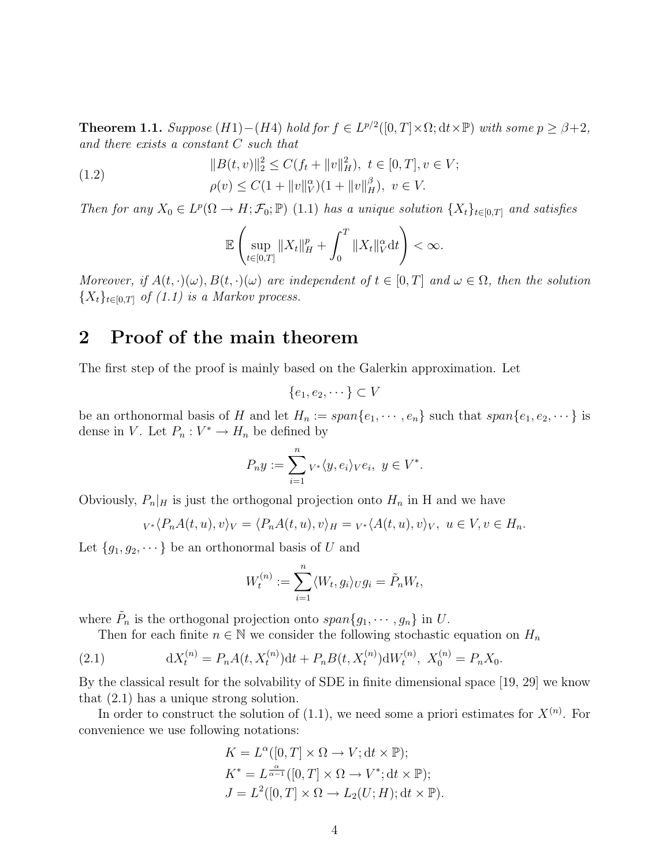**Theorem 1.1.** Suppose  $(H1)-(H4)$  hold for  $f \in L^{p/2}([0,T] \times \Omega; dt \times \mathbb{P})$  with some  $p \ge \beta+2$ , and there exists a constant C such that

(1.2) 
$$
||B(t, v)||_2^2 \le C(f_t + ||v||_H^2), \ t \in [0, T], v \in V; \rho(v) \le C(1 + ||v||_V^{\alpha})(1 + ||v||_H^{\beta}), \ v \in V.
$$

Then for any  $X_0 \in L^p(\Omega \to H; \mathcal{F}_0; \mathbb{P})$  (1.1) has a unique solution  $\{X_t\}_{t \in [0,T]}$  and satisfies

$$
\mathbb{E}\left(\sup_{t\in[0,T]}\|X_t\|_H^p+\int_0^T\|X_t\|_V^\alpha\mathrm{d}t\right)<\infty.
$$

Moreover, if  $A(t, \cdot)(\omega)$ ,  $B(t, \cdot)(\omega)$  are independent of  $t \in [0, T]$  and  $\omega \in \Omega$ , then the solution  ${X_t}_{t\in[0,T]}$  of (1.1) is a Markov process.

### 2 Proof of the main theorem

The first step of the proof is mainly based on the Galerkin approximation. Let

$$
\{e_1, e_2, \dots \} \subset V
$$

be an orthonormal basis of H and let  $H_n := span\{e_1, \dots, e_n\}$  such that  $span\{e_1, e_2, \dots\}$  is dense in V. Let  $P_n: V^* \to H_n$  be defined by

$$
P_n y := \sum_{i=1}^n v^* \langle y, e_i \rangle_V e_i, \ y \in V^*.
$$

Obviously,  $P_n|_H$  is just the orthogonal projection onto  $H_n$  in H and we have

$$
{}_{V^*}\langle P_nA(t,u),v\rangle_V = \langle P_nA(t,u),v\rangle_H = {}_{V^*}\langle A(t,u),v\rangle_V, u \in V, v \in H_n.
$$

Let  ${g_1, g_2, \dots}$  be an orthonormal basis of U and

$$
W_t^{(n)} := \sum_{i=1}^n \langle W_t, g_i \rangle_U g_i = \tilde{P}_n W_t,
$$

where  $\tilde{P}_n$  is the orthogonal projection onto  $span\{g_1, \dots, g_n\}$  in U.

Then for each finite  $n \in \mathbb{N}$  we consider the following stochastic equation on  $H_n$ 

(2.1) 
$$
dX_t^{(n)} = P_n A(t, X_t^{(n)}) dt + P_n B(t, X_t^{(n)}) dW_t^{(n)}, X_0^{(n)} = P_n X_0.
$$

By the classical result for the solvability of SDE in finite dimensional space [19, 29] we know that (2.1) has a unique strong solution.

In order to construct the solution of  $(1.1)$ , we need some a priori estimates for  $X^{(n)}$ . For convenience we use following notations:

$$
K = L^{\alpha}([0, T] \times \Omega \to V; dt \times \mathbb{P});
$$
  
\n
$$
K^* = L^{\frac{\alpha}{\alpha - 1}}([0, T] \times \Omega \to V^*; dt \times \mathbb{P});
$$
  
\n
$$
J = L^2([0, T] \times \Omega \to L_2(U; H); dt \times \mathbb{P}).
$$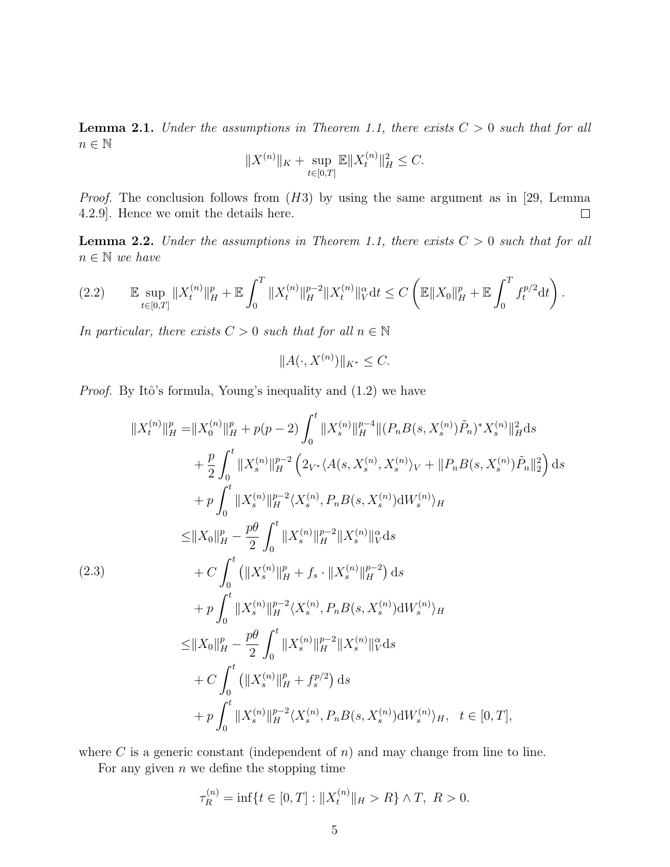**Lemma 2.1.** Under the assumptions in Theorem 1.1, there exists  $C > 0$  such that for all  $n\in\mathbb{N}$ 

$$
||X^{(n)}||_K + \sup_{t \in [0,T]} \mathbb{E}||X_t^{(n)}||_H^2 \leq C.
$$

*Proof.* The conclusion follows from  $(H3)$  by using the same argument as in [29, Lemma 4.2.9]. Hence we omit the details here.  $\Box$ 

**Lemma 2.2.** Under the assumptions in Theorem 1.1, there exists  $C > 0$  such that for all  $n \in \mathbb{N}$  we have

$$
(2.2) \qquad \mathbb{E}\sup_{t\in[0,T]}\|X_t^{(n)}\|_H^p + \mathbb{E}\int_0^T\|X_t^{(n)}\|_H^{p-2}\|X_t^{(n)}\|_V^\alpha dt \le C\left(\mathbb{E}\|X_0\|_H^p + \mathbb{E}\int_0^T f_t^{p/2}dt\right).
$$

In particular, there exists  $C > 0$  such that for all  $n \in \mathbb{N}$ 

 $||A(\cdot, X^{(n)})||_{K^*} \leq C.$ 

*Proof.* By Itô's formula, Young's inequality and  $(1.2)$  we have

$$
||X_t^{(n)}||_H^p = ||X_0^{(n)}||_H^p + p(p-2) \int_0^t ||X_s^{(n)}||_H^{p-4} ||(P_n B(s, X_s^{(n)})\tilde{P}_n)^* X_s^{(n)}||_H^2 ds
$$
  
+  $\frac{p}{2} \int_0^t ||X_s^{(n)}||_H^{p-2} (2_{V^*} \langle A(s, X_s^{(n)}, X_s^{(n)})_V + ||P_n B(s, X_s^{(n)})\tilde{P}_n||_2^2) ds$   
+  $p \int_0^t ||X_s^{(n)}||_H^{p-2} \langle X_s^{(n)}, P_n B(s, X_s^{(n)}) dW_s^{(n)} \rangle_H$   
 $\leq ||X_0||_H^p - \frac{p\theta}{2} \int_0^t ||X_s^{(n)}||_H^{p-2} ||X_s^{(n)}||_V^2 ds$   
(2.3)  
+  $C \int_0^t (||X_s^{(n)}||_H^p + f_s \cdot ||X_s^{(n)}||_H^{p-2}) ds$   
+  $p \int_0^t ||X_s^{(n)}||_H^{p-2} \langle X_s^{(n)}, P_n B(s, X_s^{(n)}) dW_s^{(n)} \rangle_H$   
 $\leq ||X_0||_H^p - \frac{p\theta}{2} \int_0^t ||X_s^{(n)}||_H^{p-2} ||X_s^{(n)}||_V^2 ds$   
+  $C \int_0^t (||X_s^{(n)}||_H^p + f_s^{p/2}) ds$   
+  $p \int_0^t ||X_s^{(n)}||_H^{p-2} \langle X_s^{(n)}, P_n B(s, X_s^{(n)}) dW_s^{(n)} \rangle_H, t \in [0, T],$ 

where C is a generic constant (independent of  $n$ ) and may change from line to line. For any given  $n$  we define the stopping time

 $\binom{n}{k}$  $(1)$ 

$$
\tau_R^{(n)} = \inf \{ t \in [0, T] : \|X_t^{(n)}\|_H > R \} \wedge T, \ R > 0.
$$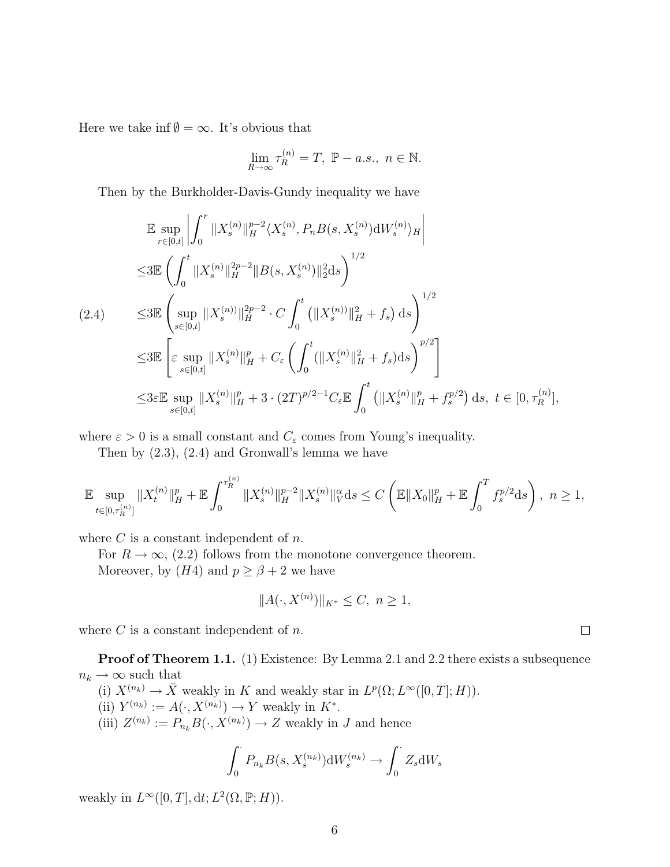Here we take inf  $\emptyset = \infty$ . It's obvious that

$$
\lim_{R \to \infty} \tau_R^{(n)} = T, \ \mathbb{P} - a.s., \ n \in \mathbb{N}.
$$

Then by the Burkholder-Davis-Gundy inequality we have

$$
\mathbb{E} \sup_{r \in [0,t]} \left| \int_0^r \|X_s^{(n)}\|_{H}^{p-2} \langle X_s^{(n)}, P_n B(s, X_s^{(n)}) \mathrm{d}W_s^{(n)} \rangle_H \right|
$$
\n
$$
\leq 3 \mathbb{E} \left( \int_0^t \|X_s^{(n)}\|_{H}^{2p-2} \|B(s, X_s^{(n)})\|_{2}^2 \mathrm{d}s \right)^{1/2}
$$
\n
$$
(2.4) \qquad \leq 3 \mathbb{E} \left( \sup_{s \in [0,t]} \|X_s^{(n)}\|_{H}^{2p-2} \cdot C \int_0^t \left( \|X_s^{(n)}\|_{H}^2 + f_s \right) \mathrm{d}s \right)^{1/2}
$$
\n
$$
\leq 3 \mathbb{E} \left[ \varepsilon \sup_{s \in [0,t]} \|X_s^{(n)}\|_{H}^p + C_{\varepsilon} \left( \int_0^t ( \|X_s^{(n)}\|_{H}^2 + f_s ) \mathrm{d}s \right)^{p/2} \right]
$$
\n
$$
\leq 3 \varepsilon \mathbb{E} \sup_{s \in [0,t]} \|X_s^{(n)}\|_{H}^p + 3 \cdot (2T)^{p/2-1} C_{\varepsilon} \mathbb{E} \int_0^t \left( \|X_s^{(n)}\|_{H}^p + f_s^{p/2} \right) \mathrm{d}s, \ t \in [0, \tau_R^{(n)}],
$$

where  $\varepsilon > 0$  is a small constant and  $C_{\varepsilon}$  comes from Young's inequality.

Then by (2.3), (2.4) and Gronwall's lemma we have

$$
\mathbb{E}\sup_{t\in[0,\tau_R^{(n)}]}\|X_t^{(n)}\|_H^p+\mathbb{E}\int_0^{\tau_R^{(n)}}\|X_s^{(n)}\|_H^{p-2}\|X_s^{(n)}\|_V^\alpha\mathrm{d}s\leq C\left(\mathbb{E}\|X_0\|_H^p+\mathbb{E}\int_0^Tf_s^{p/2}\mathrm{d}s\right),\ n\geq 1,
$$

where  $C$  is a constant independent of  $n$ .

For  $R \to \infty$ , (2.2) follows from the monotone convergence theorem. Moreover, by  $(H4)$  and  $p \ge \beta + 2$  we have

$$
||A(\cdot, X^{(n)})||_{K^*} \le C, \ n \ge 1,
$$

where  $C$  is a constant independent of  $n$ .

**Proof of Theorem 1.1.** (1) Existence: By Lemma 2.1 and 2.2 there exists a subsequence  $n_k \rightarrow \infty$  such that

(i)  $X^{(n_k)} \to \overline{X}$  weakly in K and weakly star in  $L^p(\Omega; L^{\infty}([0, T]; H)).$ (ii)  $Y^{(n_k)} := A(\cdot, X^{(n_k)}) \to Y$  weakly in  $K^*$ . (iii)  $Z^{(n_k)} := P_{n_k} B(\cdot, X^{(n_k)}) \to Z$  weakly in J and hence

$$
\int_0^{\cdot} P_{n_k} B(s, X_s^{(n_k)}) \mathrm{d}W_s^{(n_k)} \to \int_0^{\cdot} Z_s \mathrm{d}W_s
$$

weakly in  $L^{\infty}([0, T], dt; L^2(\Omega, \mathbb{P}; H)).$ 

 $\Box$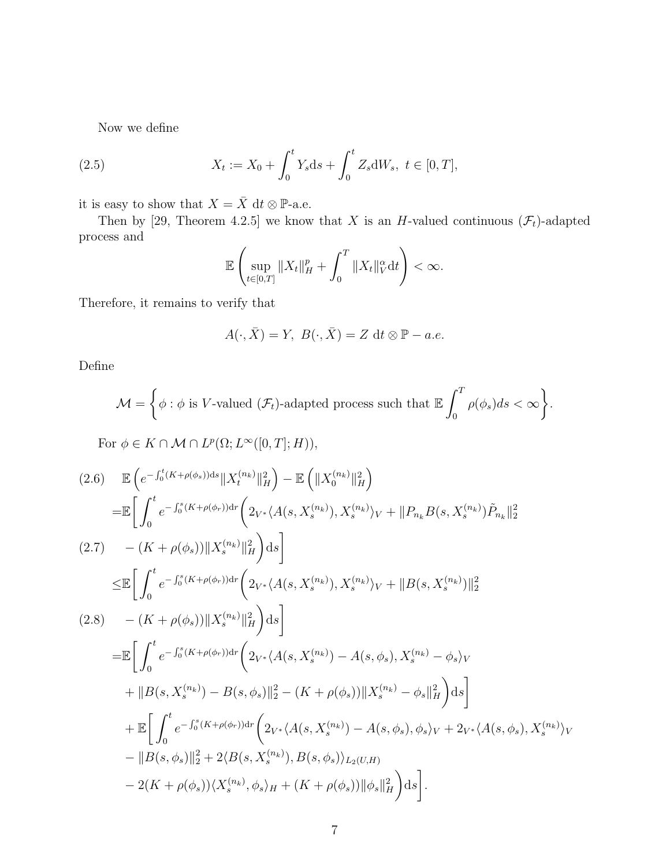Now we define

(2.5) 
$$
X_t := X_0 + \int_0^t Y_s ds + \int_0^t Z_s dW_s, \ t \in [0, T],
$$

it is easy to show that  $X = \bar{X}$  dt  $\otimes$  P-a.e.

Then by [29, Theorem 4.2.5] we know that X is an H-valued continuous  $(\mathcal{F}_t)$ -adapted process and

$$
\mathbb{E}\left(\sup_{t\in[0,T]}\|X_t\|_H^p+\int_0^T\|X_t\|_V^\alpha\mathrm{d}t\right)<\infty.
$$

Therefore, it remains to verify that

$$
A(\cdot, \bar{X}) = Y, \ B(\cdot, \bar{X}) = Z \ dt \otimes \mathbb{P} - a.e.
$$

Define

$$
\mathcal{M} = \bigg\{\phi : \phi \text{ is } V\text{-valued } (\mathcal{F}_t)\text{-adapted process such that } \mathbb{E} \int_0^T \rho(\phi_s) ds < \infty \bigg\}.
$$

For  $\phi \in K \cap \mathcal{M} \cap L^p(\Omega; L^\infty([0,T]; H)),$ 

$$
(2.6) \mathbb{E} \left( e^{-\int_0^t (K + \rho(\phi_s))ds} \|X_t^{(n_k)}\|_H^2 \right) - \mathbb{E} \left( \|X_0^{(n_k)}\|_H^2 \right)
$$
  
\n
$$
= \mathbb{E} \left[ \int_0^t e^{-\int_0^s (K + \rho(\phi_r))dr} \left( 2_{V^*} \langle A(s, X_s^{(n_k)}), X_s^{(n_k)} \rangle_V + \|P_{n_k}B(s, X_s^{(n_k)})\tilde{P}_{n_k}\|_2^2 \right)
$$
  
\n
$$
(2.7) \quad - (K + \rho(\phi_s)) \|X_s^{(n_k)}\|_H^2 \right) ds
$$
  
\n
$$
\leq \mathbb{E} \left[ \int_0^t e^{-\int_0^s (K + \rho(\phi_r))dr} \left( 2_{V^*} \langle A(s, X_s^{(n_k)}), X_s^{(n_k)} \rangle_V + \|B(s, X_s^{(n_k)})\|_2^2 \right)
$$
  
\n
$$
(2.8) \quad - (K + \rho(\phi_s)) \|X_s^{(n_k)}\|_H^2 \right) ds
$$
  
\n
$$
= \mathbb{E} \left[ \int_0^t e^{-\int_0^s (K + \rho(\phi_r))dr} \left( 2_{V^*} \langle A(s, X_s^{(n_k)}) - A(s, \phi_s), X_s^{(n_k)} - \phi_s \rangle_V \right)
$$
  
\n
$$
+ \|B(s, X_s^{(n_k)}) - B(s, \phi_s)\|_2^2 - (K + \rho(\phi_s)) \|X_s^{(n_k)} - \phi_s\|_H^2 \right) ds
$$
  
\n
$$
+ \mathbb{E} \left[ \int_0^t e^{-\int_0^s (K + \rho(\phi_r))dr} \left( 2_{V^*} \langle A(s, X_s^{(n_k)}) - A(s, \phi_s), \phi_s \rangle_V + 2_{V^*} \langle A(s, \phi_s), X_s^{(n_k)} \rangle_V \right)
$$
  
\n
$$
- \|B(s, \phi_s)\|_2^2 + 2 \langle B(s, X_s^{(n_k)}), B(s, \phi_s) \rangle_{L_2(U, H)} \right)
$$
  
\n
$$
- 2(K + \rho(\phi_s)) \langle X_s^{(n_k)}, \phi_s \rangle_H + (K +
$$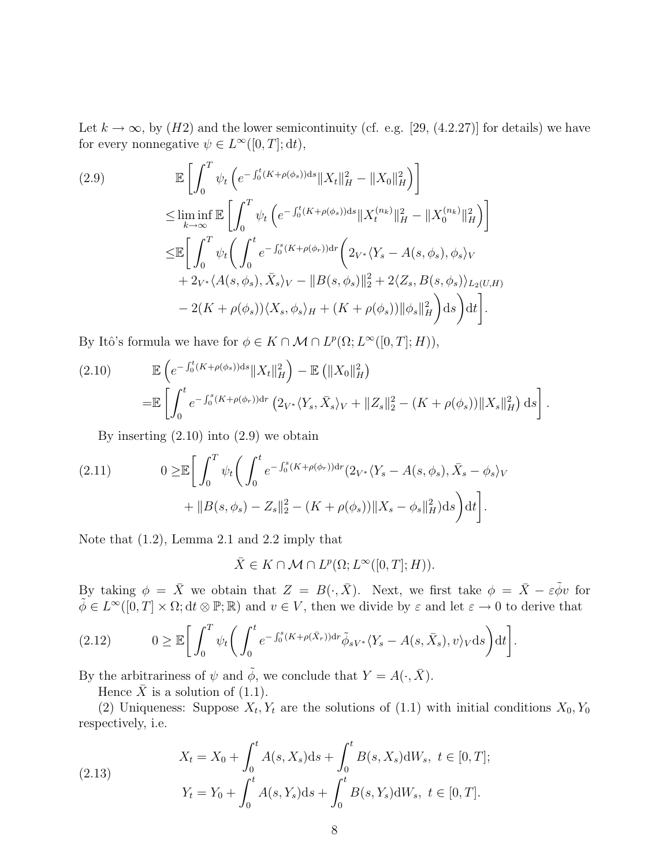Let  $k \to \infty$ , by (H2) and the lower semicontinuity (cf. e.g. [29, (4.2.27)] for details) we have for every nonnegative  $\psi \in L^{\infty}([0,T]; dt)$ ,

$$
(2.9) \qquad \mathbb{E}\left[\int_{0}^{T} \psi_{t}\left(e^{-\int_{0}^{t}(K+\rho(\phi_{s}))ds}\|X_{t}\|_{H}^{2}-\|X_{0}\|_{H}^{2}\right)\right]
$$
\n
$$
\leq \liminf_{k\to\infty} \mathbb{E}\left[\int_{0}^{T} \psi_{t}\left(e^{-\int_{0}^{t}(K+\rho(\phi_{s}))ds}\|X_{t}^{(n_{k})}\|_{H}^{2}-\|X_{0}^{(n_{k})}\|_{H}^{2}\right)\right]
$$
\n
$$
\leq \mathbb{E}\left[\int_{0}^{T} \psi_{t}\left(\int_{0}^{t} e^{-\int_{0}^{s}(K+\rho(\phi_{r}))dr}\left(2_{V^{*}}\langle Y_{s}-A(s,\phi_{s}),\phi_{s}\rangle_{V}\right) + 2_{V^{*}}\langle A(s,\phi_{s}),\bar{X}_{s}\rangle_{V}-\|B(s,\phi_{s})\|_{2}^{2}+2\langle Z_{s},B(s,\phi_{s})\rangle_{L_{2}(U,H)} - 2(K+\rho(\phi_{s}))\langle X_{s},\phi_{s}\rangle_{H} + (K+\rho(\phi_{s}))\|\phi_{s}\|_{H}^{2}\right)ds\right)dt\right].
$$

By Itô's formula we have for  $\phi \in K \cap \mathcal{M} \cap L^p(\Omega; L^{\infty}([0, T]; H)),$ 

(2.10) 
$$
\mathbb{E}\left(e^{-\int_0^t (K+\rho(\phi_s))ds} \|X_t\|_H^2\right) - \mathbb{E}\left(\|X_0\|_H^2\right)
$$

$$
= \mathbb{E}\left[\int_0^t e^{-\int_0^s (K+\rho(\phi_r))dr} \left(2_{V^*}\langle Y_s, \bar{X}_s\rangle_V + \|Z_s\|_2^2 - (K+\rho(\phi_s))\|X_s\|_H^2\right) ds\right].
$$

By inserting  $(2.10)$  into  $(2.9)$  we obtain

(2.11) 
$$
0 \geq \mathbb{E} \bigg[ \int_0^T \psi_t \bigg( \int_0^t e^{-\int_0^s (K + \rho(\phi_r)) dr} (2_{V^*} \langle Y_s - A(s, \phi_s), \bar{X}_s - \phi_s \rangle_V + \|B(s, \phi_s) - Z_s\|_2^2 - (K + \rho(\phi_s)) \|X_s - \phi_s\|_H^2) ds \bigg) dt \bigg].
$$

Note that (1.2), Lemma 2.1 and 2.2 imply that

 $\bar{X} \in K \cap \mathcal{M} \cap L^p(\Omega; L^{\infty}([0,T]; H)).$ 

By taking  $\phi = \bar{X}$  we obtain that  $Z = B(\cdot, \bar{X})$ . Next, we first take  $\phi = \bar{X} - \varepsilon \tilde{\phi} v$  for  $\tilde{\phi} \in L^{\infty}([0,T] \times \Omega; dt \otimes \mathbb{P}; \mathbb{R})$  and  $v \in V$ , then we divide by  $\varepsilon$  and let  $\varepsilon \to 0$  to derive that

(2.12) 
$$
0 \geq \mathbb{E}\bigg[\int_0^T \psi_t \bigg(\int_0^t e^{-\int_0^s (K+\rho(\bar{X}_r))\mathrm{d}r} \tilde{\phi}_{sV^*} \langle Y_s - A(s, \bar{X}_s), v \rangle_V \mathrm{d}s\bigg) \mathrm{d}t\bigg].
$$

By the arbitrariness of  $\psi$  and  $\tilde{\phi}$ , we conclude that  $Y = A(\cdot, \bar{X})$ .

Hence  $\bar{X}$  is a solution of (1.1).

(2) Uniqueness: Suppose  $X_t, Y_t$  are the solutions of (1.1) with initial conditions  $X_0, Y_0$ respectively, i.e.

(2.13) 
$$
X_t = X_0 + \int_0^t A(s, X_s) ds + \int_0^t B(s, X_s) dW_s, \ t \in [0, T];
$$

$$
Y_t = Y_0 + \int_0^t A(s, Y_s) ds + \int_0^t B(s, Y_s) dW_s, \ t \in [0, T].
$$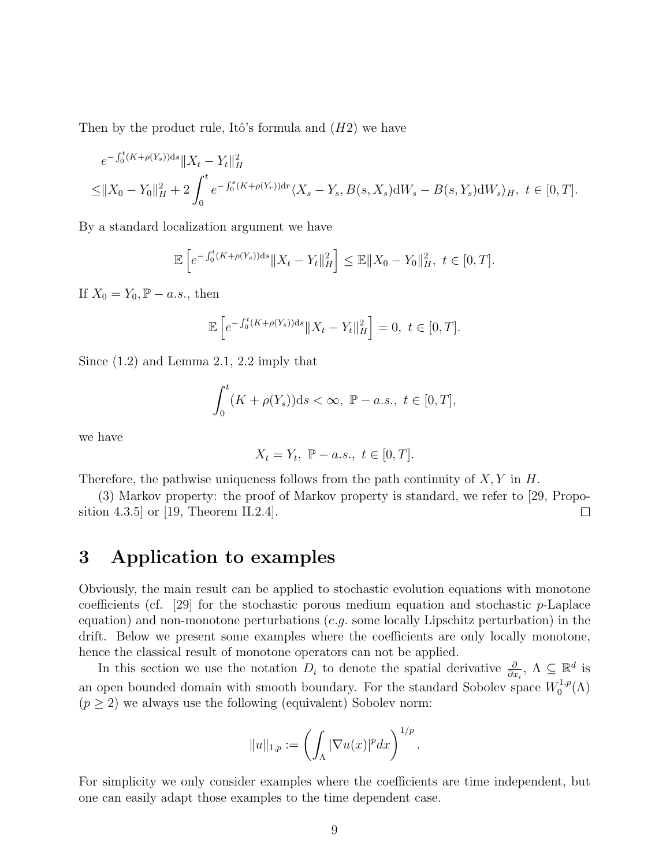Then by the product rule, Itô's formula and  $(H2)$  we have

$$
e^{-\int_0^t (K+\rho(Y_s))ds} \|X_t - Y_t\|_H^2
$$
  
\n
$$
\leq \|X_0 - Y_0\|_H^2 + 2 \int_0^t e^{-\int_0^s (K+\rho(Y_r))dr} \langle X_s - Y_s, B(s, X_s) dW_s - B(s, Y_s) dW_s \rangle_H, \ t \in [0, T].
$$

By a standard localization argument we have

$$
\mathbb{E}\left[e^{-\int_0^t (K+\rho(Y_s))ds} \|X_t - Y_t\|_H^2\right] \le \mathbb{E}\|X_0 - Y_0\|_H^2, \ t \in [0, T].
$$

If  $X_0 = Y_0$ ,  $\mathbb{P} - a.s.$ , then

$$
\mathbb{E}\left[e^{-\int_0^t (K+\rho(Y_s))ds} \|X_t - Y_t\|_H^2\right] = 0, \ t \in [0, T].
$$

Since (1.2) and Lemma 2.1, 2.2 imply that

$$
\int_0^t (K+\rho(Y_s))ds < \infty, \ \mathbb{P}-a.s., \ t\in [0,T],
$$

we have

$$
X_t = Y_t, \ \mathbb{P} - a.s., \ t \in [0, T].
$$

Therefore, the pathwise uniqueness follows from the path continuity of  $X, Y$  in  $H$ .

(3) Markov property: the proof of Markov property is standard, we refer to [29, Proposition 4.3.5] or [19, Theorem II.2.4].  $\Box$ 

### 3 Application to examples

Obviously, the main result can be applied to stochastic evolution equations with monotone coefficients (cf. [29] for the stochastic porous medium equation and stochastic  $p$ -Laplace equation) and non-monotone perturbations  $(e.g.$  some locally Lipschitz perturbation) in the drift. Below we present some examples where the coefficients are only locally monotone, hence the classical result of monotone operators can not be applied.

In this section we use the notation  $D_i$  to denote the spatial derivative  $\frac{\partial}{\partial x_i}$ ,  $\Lambda \subseteq \mathbb{R}^d$  is an open bounded domain with smooth boundary. For the standard Sobolev space  $W_0^{1,p}$  $\zeta_0^{1,p}(\Lambda)$  $(p \geq 2)$  we always use the following (equivalent) Sobolev norm:

$$
||u||_{1,p} := \left(\int_{\Lambda} |\nabla u(x)|^p dx\right)^{1/p}.
$$

For simplicity we only consider examples where the coefficients are time independent, but one can easily adapt those examples to the time dependent case.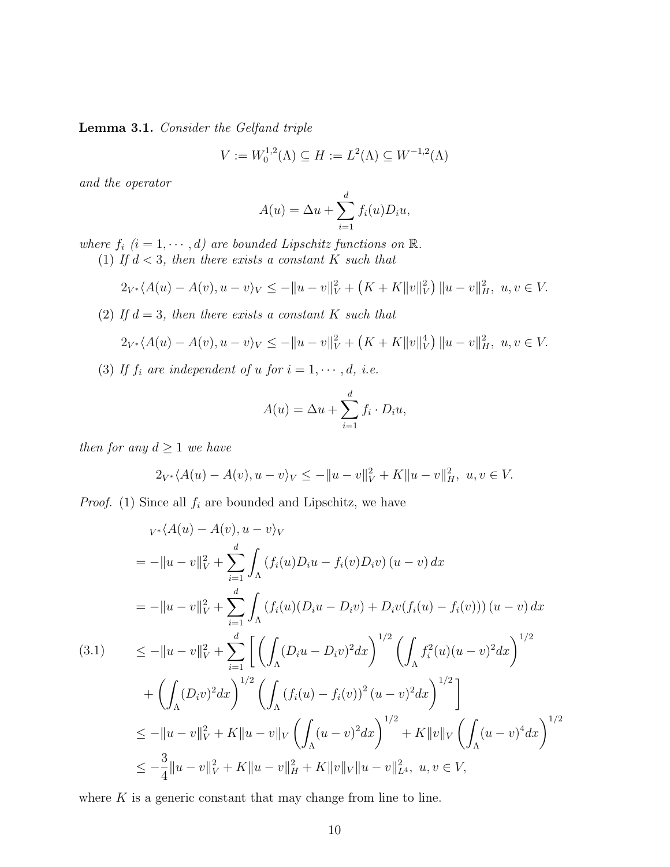Lemma 3.1. Consider the Gelfand triple

$$
V := W_0^{1,2}(\Lambda) \subseteq H := L^2(\Lambda) \subseteq W^{-1,2}(\Lambda)
$$

and the operator

$$
A(u) = \Delta u + \sum_{i=1}^{d} f_i(u) D_i u,
$$

where  $f_i$   $(i = 1, \dots, d)$  are bounded Lipschitz functions on  $\mathbb{R}$ .

(1) If  $d < 3$ , then there exists a constant K such that

$$
2_{V^*}\langle A(u) - A(v), u - v \rangle_V \le -||u - v||_V^2 + (K + K||v||_V^2) ||u - v||_H^2, \ u, v \in V.
$$

(2) If  $d = 3$ , then there exists a constant K such that

$$
2_{V^*}\langle A(u) - A(v), u - v\rangle_V \le -||u - v||_V^2 + (K + K||v||_V^4) ||u - v||_H^2, \ u, v \in V.
$$

(3) If  $f_i$  are independent of u for  $i = 1, \dots, d$ , i.e.

$$
A(u) = \Delta u + \sum_{i=1}^{d} f_i \cdot D_i u,
$$

then for any  $d \geq 1$  we have

$$
2_{V^*}\langle A(u) - A(v), u - v \rangle_V \le -||u - v||_V^2 + K||u - v||_H^2, \ u, v \in V.
$$

*Proof.* (1) Since all  $f_i$  are bounded and Lipschitz, we have

$$
v_* \langle A(u) - A(v), u - v \rangle_V
$$
  
\n
$$
= -\|u - v\|_V^2 + \sum_{i=1}^d \int_{\Lambda} (f_i(u)D_i u - f_i(v)D_i v) (u - v) dx
$$
  
\n
$$
= -\|u - v\|_V^2 + \sum_{i=1}^d \int_{\Lambda} (f_i(u)(D_i u - D_i v) + D_i v(f_i(u) - f_i(v))) (u - v) dx
$$
  
\n(3.1) 
$$
\le -\|u - v\|_V^2 + \sum_{i=1}^d \left[ \left( \int_{\Lambda} (D_i u - D_i v)^2 dx \right)^{1/2} \left( \int_{\Lambda} f_i^2(u)(u - v)^2 dx \right)^{1/2} + \left( \int_{\Lambda} (D_i v)^2 dx \right)^{1/2} \left( \int_{\Lambda} (f_i(u) - f_i(v))^2 (u - v)^2 dx \right)^{1/2} \right]
$$
  
\n
$$
\le -\|u - v\|_V^2 + K\|u - v\|_V \left( \int_{\Lambda} (u - v)^2 dx \right)^{1/2} + K\|v\|_V \left( \int_{\Lambda} (u - v)^4 dx \right)^{1/2}
$$
  
\n
$$
\le -\frac{3}{4} \|u - v\|_V^2 + K\|u - v\|_H^2 + K\|v\|_V \|u - v\|_{L^4}^2, \ u, v \in V,
$$

where  $K$  is a generic constant that may change from line to line.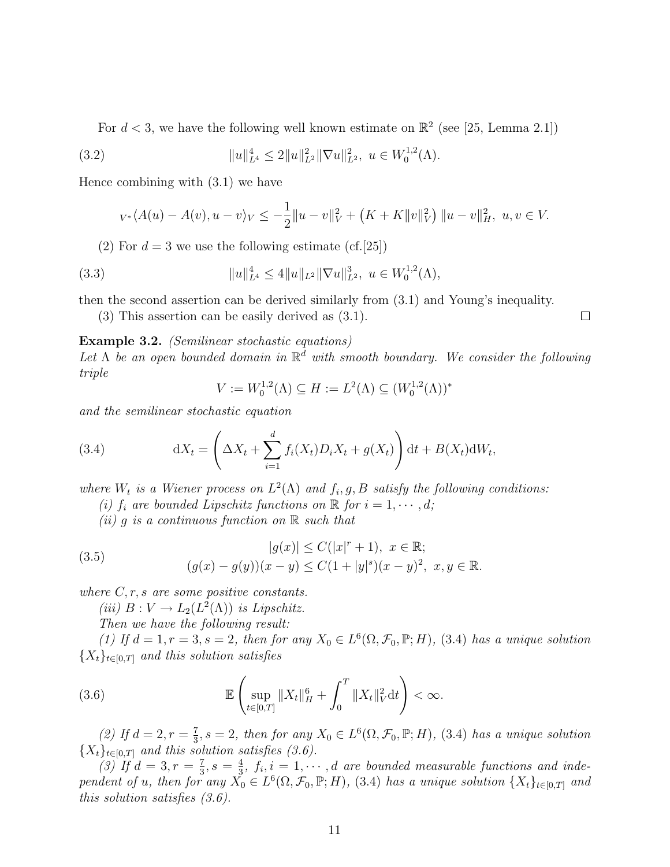For  $d < 3$ , we have the following well known estimate on  $\mathbb{R}^2$  (see [25, Lemma 2.1])

(3.2) 
$$
||u||_{L^4}^4 \leq 2||u||_{L^2}^2||\nabla u||_{L^2}^2, \ u \in W_0^{1,2}(\Lambda).
$$

Hence combining with (3.1) we have

$$
v \cdot \langle A(u) - A(v), u - v \rangle_V \le -\frac{1}{2} ||u - v||_V^2 + (K + K ||v||_V^2) ||u - v||_H^2, \ u, v \in V.
$$

(2) For  $d = 3$  we use the following estimate (cf. [25])

(3.3) 
$$
||u||_{L^4}^4 \le 4||u||_{L^2}||\nabla u||_{L^2}^3, \ u \in W_0^{1,2}(\Lambda),
$$

then the second assertion can be derived similarly from (3.1) and Young's inequality.

(3) This assertion can be easily derived as (3.1).

#### Example 3.2. (Semilinear stochastic equations)

Let  $\Lambda$  be an open bounded domain in  $\mathbb{R}^d$  with smooth boundary. We consider the following triple

$$
V := W_0^{1,2}(\Lambda) \subseteq H := L^2(\Lambda) \subseteq (W_0^{1,2}(\Lambda))^*
$$

and the semilinear stochastic equation

(3.4) 
$$
dX_t = \left(\Delta X_t + \sum_{i=1}^d f_i(X_t) D_i X_t + g(X_t)\right) dt + B(X_t) dW_t,
$$

where  $W_t$  is a Wiener process on  $L^2(\Lambda)$  and  $f_i, g, B$  satisfy the following conditions:

(i)  $f_i$  are bounded Lipschitz functions on  $\mathbb R$  for  $i = 1, \dots, d$ ;

(ii) g is a continuous function on  $\mathbb R$  such that

(3.5) 
$$
|g(x)| \le C(|x|^r + 1), \ x \in \mathbb{R};
$$

$$
(g(x) - g(y))(x - y) \le C(1 + |y|^s)(x - y)^2, \ x, y \in \mathbb{R}.
$$

where  $C, r, s$  are some positive constants.

(iii)  $B: V \to L_2(L^2(\Lambda))$  is Lipschitz.

Then we have the following result:

(1) If  $d = 1, r = 3, s = 2$ , then for any  $X_0 \in L^6(\Omega, \mathcal{F}_0, \mathbb{P}; H)$ , (3.4) has a unique solution  ${X_t}_{t \in [0,T]}$  and this solution satisfies

(3.6) 
$$
\mathbb{E}\left(\sup_{t\in[0,T]}\|X_t\|_H^6+\int_0^T\|X_t\|_V^2\mathrm{d}t\right)<\infty.
$$

(2) If  $d = 2, r = \frac{7}{3}$  $\frac{7}{3}$ , s = 2, then for any  $X_0 \in L^6(\Omega, \mathcal{F}_0, \mathbb{P}; H)$ , (3.4) has a unique solution  ${X_t}_{t\in[0,T]}$  and this solution satisfies (3.6).

(3) If  $d = 3, r = \frac{7}{3}$  $\frac{7}{3}, s = \frac{4}{3}$  $\frac{4}{3}$ ,  $f_i$ ,  $i = 1, \dots, d$  are bounded measurable functions and independent of u, then for any  $\check{X}_0 \in L^6(\Omega, \mathcal{F}_0, \mathbb{P}; H)$ , (3.4) has a unique solution  $\{X_t\}_{t \in [0,T]}$  and this solution satisfies (3.6).

 $\Box$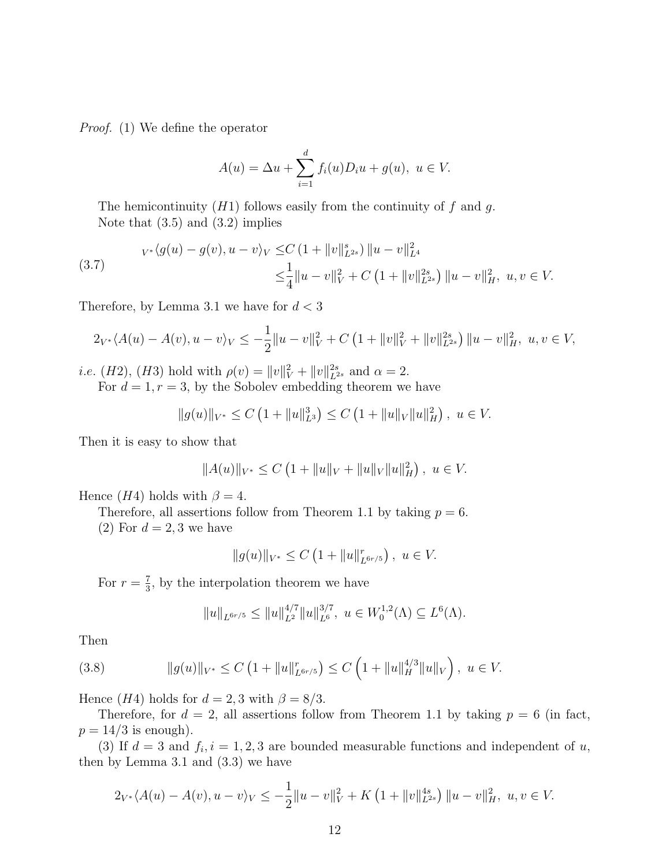Proof. (1) We define the operator

$$
A(u) = \Delta u + \sum_{i=1}^{d} f_i(u)D_i u + g(u), \ u \in V.
$$

The hemicontinuity  $(H1)$  follows easily from the continuity of f and g. Note that  $(3.5)$  and  $(3.2)$  implies

(3.7) 
$$
v*\langle g(u) - g(v), u - v \rangle_V \leq C \left(1 + \|v\|_{L^{2s}}^s\right) \|u - v\|_{L^4}^2 \n\leq \frac{1}{4} \|u - v\|_V^2 + C \left(1 + \|v\|_{L^{2s}}^{2s}\right) \|u - v\|_H^2, \ u, v \in V.
$$

Therefore, by Lemma 3.1 we have for  $d < 3$ 

$$
2_{V^*}\langle A(u) - A(v), u - v \rangle_V \le -\frac{1}{2}||u - v||_V^2 + C\left(1 + ||v||_V^2 + ||v||_{L^{2s}}^2\right) ||u - v||_H^2, \ u, v \in V,
$$

*i.e.* (*H2*), (*H3*) hold with  $\rho(v) = ||v||_V^2 + ||v||_{L^{2s}}^{2s}$  and  $\alpha = 2$ .

For  $d = 1, r = 3$ , by the Sobolev embedding theorem we have

$$
||g(u)||_{V^*} \leq C \left(1 + ||u||_{L^3}^3\right) \leq C \left(1 + ||u||_V ||u||_H^2\right), \ u \in V.
$$

Then it is easy to show that

$$
||A(u)||_{V^*} \le C\left(1 + ||u||_V + ||u||_V ||u||_H^2\right), \ u \in V.
$$

Hence (H4) holds with  $\beta = 4$ .

Therefore, all assertions follow from Theorem 1.1 by taking  $p = 6$ .

(2) For  $d = 2, 3$  we have

$$
||g(u)||_{V^*} \leq C \left(1 + ||u||_{L^{6r/5}}^r\right), \ u \in V.
$$

For  $r=\frac{7}{3}$  $\frac{7}{3}$ , by the interpolation theorem we have

$$
||u||_{L^{6r/5}} \le ||u||_{L^2}^{4/7} ||u||_{L^6}^{3/7}, \ u \in W_0^{1,2}(\Lambda) \subseteq L^6(\Lambda).
$$

Then

(3.8) 
$$
||g(u)||_{V^*} \leq C \left(1 + ||u||_{L^{6r/5}}^r\right) \leq C \left(1 + ||u||_H^{4/3} ||u||_V\right), \ u \in V.
$$

Hence (H4) holds for  $d = 2, 3$  with  $\beta = 8/3$ .

Therefore, for  $d = 2$ , all assertions follow from Theorem 1.1 by taking  $p = 6$  (in fact,  $p = 14/3$  is enough).

(3) If  $d=3$  and  $f_i, i=1,2,3$  are bounded measurable functions and independent of u, then by Lemma 3.1 and (3.3) we have

$$
2_{V^*}\langle A(u) - A(v), u - v \rangle_V \le -\frac{1}{2}||u - v||_V^2 + K\left(1 + ||v||_{L^{2s}}^{4s}\right)||u - v||_H^2, \ u, v \in V.
$$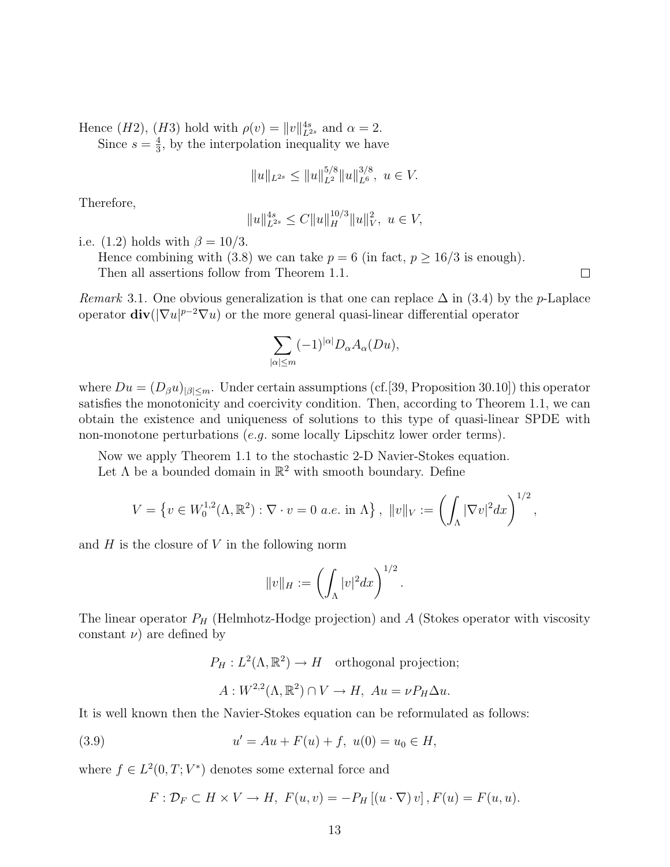Hence  $(H2)$ ,  $(H3)$  hold with  $\rho(v) = ||v||_{L^{2s}}^{4s}$  and  $\alpha = 2$ . Since  $s=\frac{4}{3}$  $\frac{4}{3}$ , by the interpolation inequality we have

$$
||u||_{L^{2s}} \le ||u||_{L^2}^{5/8} ||u||_{L^6}^{3/8}, u \in V.
$$

Therefore,

$$
||u||_{L^{2s}}^{4s} \leq C||u||_H^{10/3}||u||_V^2, \ u \in V,
$$

i.e. (1.2) holds with  $\beta = 10/3$ .

Hence combining with (3.8) we can take  $p = 6$  (in fact,  $p \ge 16/3$  is enough). Then all assertions follow from Theorem 1.1.

Remark 3.1. One obvious generalization is that one can replace  $\Delta$  in (3.4) by the p-Laplace operator  $\text{div}(|\nabla u|^{p-2}\nabla u)$  or the more general quasi-linear differential operator

$$
\sum_{|\alpha|\leq m}(-1)^{|\alpha|}D_\alpha A_\alpha(Du),
$$

where  $Du = (D_\beta u)_{|\beta| \leq m}$ . Under certain assumptions (cf. [39, Proposition 30.10]) this operator satisfies the monotonicity and coercivity condition. Then, according to Theorem 1.1, we can obtain the existence and uniqueness of solutions to this type of quasi-linear SPDE with non-monotone perturbations (e.g. some locally Lipschitz lower order terms).

Now we apply Theorem 1.1 to the stochastic 2-D Navier-Stokes equation.

Let  $\Lambda$  be a bounded domain in  $\mathbb{R}^2$  with smooth boundary. Define

$$
V = \left\{ v \in W_0^{1,2}(\Lambda, \mathbb{R}^2) : \nabla \cdot v = 0 \text{ a.e. in } \Lambda \right\}, \ \|v\|_V := \left( \int_{\Lambda} |\nabla v|^2 dx \right)^{1/2},
$$

and  $H$  is the closure of  $V$  in the following norm

$$
||v||_H := \left(\int_{\Lambda} |v|^2 dx\right)^{1/2}
$$

.

 $\Box$ 

The linear operator  $P_H$  (Helmhotz-Hodge projection) and  $A$  (Stokes operator with viscosity constant  $\nu$ ) are defined by

$$
P_H: L^2(\Lambda, \mathbb{R}^2) \to H
$$
 orthogonal projection;  
 $A: W^{2,2}(\Lambda, \mathbb{R}^2) \cap V \to H$ ,  $Au = \nu P_H \Delta u$ .

It is well known then the Navier-Stokes equation can be reformulated as follows:

(3.9) 
$$
u' = Au + F(u) + f, \ u(0) = u_0 \in H,
$$

where  $f \in L^2(0,T;V^*)$  denotes some external force and

$$
F: \mathcal{D}_F \subset H \times V \to H, \ F(u, v) = -P_H [(u \cdot \nabla) v], F(u) = F(u, u).
$$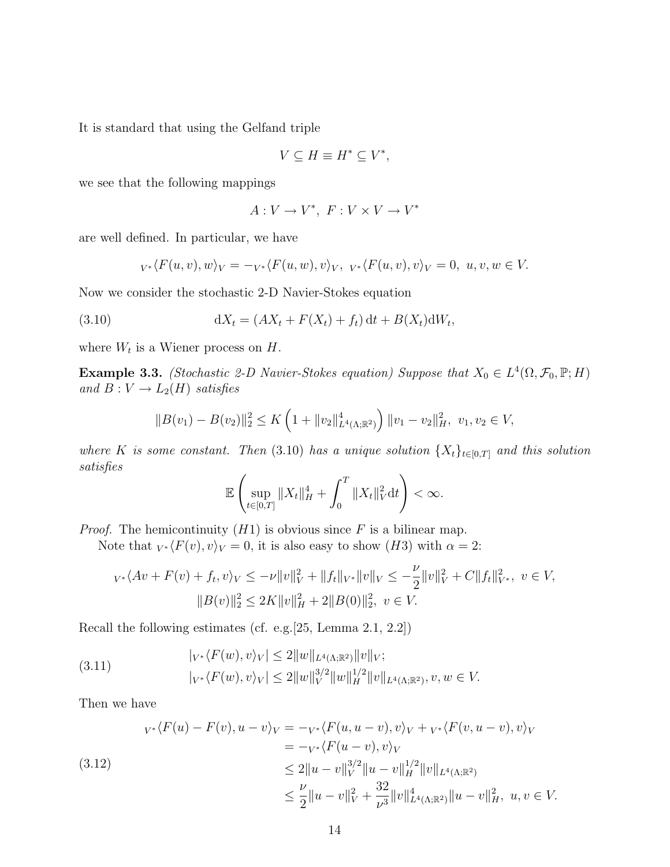It is standard that using the Gelfand triple

$$
V \subseteq H \equiv H^* \subseteq V^*,
$$

we see that the following mappings

$$
A: V \to V^*, \ F: V \times V \to V^*
$$

are well defined. In particular, we have

$$
{}_{V^*}\langle F(u,v),w\rangle_V=-{}_{V^*}\langle F(u,w),v\rangle_V, \quad {}_{V^*}\langle F(u,v),v\rangle_V=0, \quad u,v,w\in V.
$$

Now we consider the stochastic 2-D Navier-Stokes equation

(3.10) 
$$
dX_t = (AX_t + F(X_t) + f_t) dt + B(X_t) dW_t,
$$

where  $W_t$  is a Wiener process on  $H$ .

**Example 3.3.** (Stochastic 2-D Navier-Stokes equation) Suppose that  $X_0 \in L^4(\Omega, \mathcal{F}_0, \mathbb{P}; H)$ and  $B: V \to L_2(H)$  satisfies

$$
||B(v_1) - B(v_2)||_2^2 \le K\left(1 + ||v_2||_{L^4(\Lambda; \mathbb{R}^2)}^4\right) ||v_1 - v_2||_H^2, \ v_1, v_2 \in V,
$$

where K is some constant. Then (3.10) has a unique solution  $\{X_t\}_{t\in[0,T]}$  and this solution satisfies

$$
\mathbb{E}\left(\sup_{t\in[0,T]}\|X_t\|_H^4+\int_0^T\|X_t\|_V^2\mathrm{d}t\right)<\infty.
$$

*Proof.* The hemicontinuity  $(H1)$  is obvious since F is a bilinear map.

Note that  $_{V^*}\langle F(v), v\rangle_V = 0$ , it is also easy to show (H3) with  $\alpha = 2$ :

$$
\begin{aligned} v^* \langle Av + F(v) + f_t, v \rangle_V &\leq -\nu \|v\|_V^2 + \|f_t\|_{V^*} \|v\|_V \leq -\frac{\nu}{2} \|v\|_V^2 + C \|f_t\|_{V^*}^2, \ v \in V, \\ & \|B(v)\|_2^2 \leq 2K \|v\|_H^2 + 2\|B(0)\|_2^2, \ v \in V. \end{aligned}
$$

Recall the following estimates (cf. e.g.[25, Lemma 2.1, 2.2])

(3.11) 
$$
|_{V^*}\langle F(w), v\rangle_V| \le 2||w||_{L^4(\Lambda; \mathbb{R}^2)}||v||_V; |_{V^*}\langle F(w), v\rangle_V| \le 2||w||_V^{3/2}||w||_H^{1/2}||v||_{L^4(\Lambda; \mathbb{R}^2)}, v, w \in V.
$$

Then we have

$$
v^*\langle F(u) - F(v), u - v \rangle_V = -v^*\langle F(u, u - v), v \rangle_V + v^*\langle F(v, u - v), v \rangle_V
$$
  
\n
$$
= -v^*\langle F(u - v), v \rangle_V
$$
  
\n
$$
\leq 2||u - v||_V^{3/2}||u - v||_H^{1/2}||v||_{L^4(\Lambda; \mathbb{R}^2)}
$$
  
\n
$$
\leq \frac{\nu}{2}||u - v||_V^2 + \frac{32}{\nu^3}||v||_{L^4(\Lambda; \mathbb{R}^2)}^4||u - v||_H^2, \ u, v \in V.
$$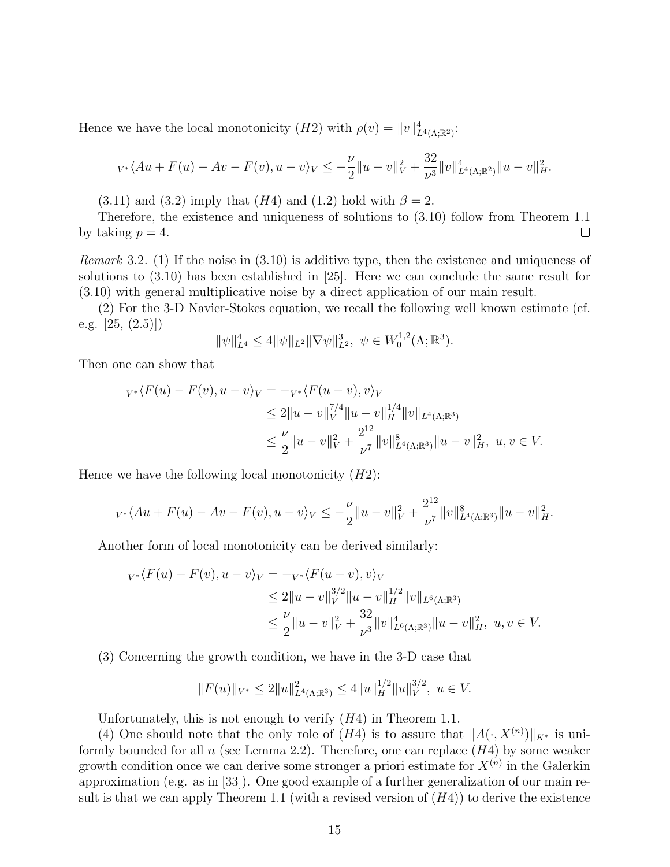Hence we have the local monotonicity  $(H2)$  with  $\rho(v) = ||v||^4_{L^4(\Lambda;\mathbb{R}^2)}$ :

$$
v \cdot \langle Au + F(u) - Av - F(v), u - v \rangle_V \le -\frac{\nu}{2} \|u - v\|_V^2 + \frac{32}{\nu^3} \|v\|_{L^4(\Lambda; \mathbb{R}^2)}^4 \|u - v\|_H^2.
$$

 $(3.11)$  and  $(3.2)$  imply that  $(H4)$  and  $(1.2)$  hold with  $\beta = 2$ .

Therefore, the existence and uniqueness of solutions to (3.10) follow from Theorem 1.1 by taking  $p = 4$ .  $\Box$ 

*Remark* 3.2. (1) If the noise in  $(3.10)$  is additive type, then the existence and uniqueness of solutions to (3.10) has been established in [25]. Here we can conclude the same result for (3.10) with general multiplicative noise by a direct application of our main result.

(2) For the 3-D Navier-Stokes equation, we recall the following well known estimate (cf. e.g.  $[25, (2.5)]$ 

$$
\|\psi\|_{L^4}^4 \le 4 \|\psi\|_{L^2} \|\nabla \psi\|_{L^2}^3, \ \psi \in W_0^{1,2}(\Lambda;\mathbb{R}^3).
$$

Then one can show that

$$
v*\langle F(u) - F(v), u - v \rangle_V = -v*\langle F(u - v), v \rangle_V
$$
  
\n
$$
\leq 2||u - v||_V^{7/4}||u - v||_H^{1/4}||v||_{L^4(\Lambda; \mathbb{R}^3)}
$$
  
\n
$$
\leq \frac{\nu}{2}||u - v||_V^2 + \frac{2^{12}}{\nu^7}||v||_{L^4(\Lambda; \mathbb{R}^3)}^8||u - v||_H^2, \ u, v \in V.
$$

Hence we have the following local monotonicity  $(H2)$ :

$$
v \cdot \langle Au + F(u) - Av - F(v), u - v \rangle_V \leq -\frac{\nu}{2} \|u - v\|_V^2 + \frac{2^{12}}{\nu^7} \|v\|_{L^4(\Lambda; \mathbb{R}^3)}^8 \|u - v\|_H^2.
$$

Another form of local monotonicity can be derived similarly:

$$
\begin{aligned} v^* \langle F(u) - F(v), u - v \rangle_V &= -v^* \langle F(u - v), v \rangle_V \\ &\le 2 \|u - v\|_V^{3/2} \|u - v\|_H^{1/2} \|v\|_{L^6(\Lambda; \mathbb{R}^3)} \\ &\le \frac{\nu}{2} \|u - v\|_V^2 + \frac{32}{\nu^3} \|v\|_{L^6(\Lambda; \mathbb{R}^3)}^4 \|u - v\|_H^2, \ u, v \in V. \end{aligned}
$$

(3) Concerning the growth condition, we have in the 3-D case that

$$
||F(u)||_{V^*} \le 2||u||^2_{L^4(\Lambda;\mathbb{R}^3)} \le 4||u||^{1/2}_H||u||^{3/2}_V, \ u \in V.
$$

Unfortunately, this is not enough to verify  $(H4)$  in Theorem 1.1.

(4) One should note that the only role of  $(H4)$  is to assure that  $||A(\cdot, X^{(n)})||_{K^*}$  is uniformly bounded for all  $n$  (see Lemma 2.2). Therefore, one can replace  $(H4)$  by some weaker growth condition once we can derive some stronger a priori estimate for  $X^{(n)}$  in the Galerkin approximation (e.g. as in [33]). One good example of a further generalization of our main result is that we can apply Theorem 1.1 (with a revised version of  $(H4)$ ) to derive the existence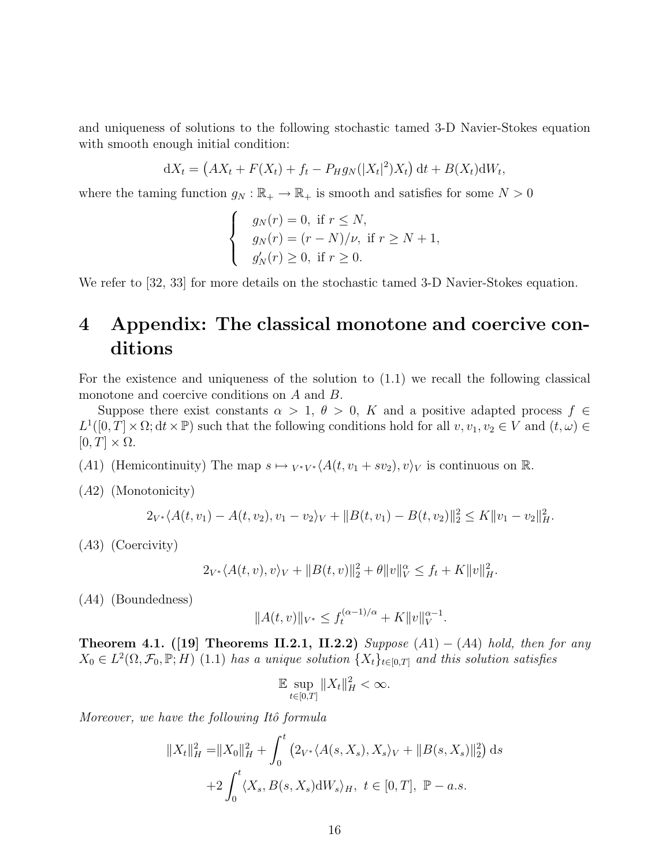and uniqueness of solutions to the following stochastic tamed 3-D Navier-Stokes equation with smooth enough initial condition:

$$
dX_t = (AX_t + F(X_t) + f_t - P_H g_N(|X_t|^2)X_t) dt + B(X_t)dW_t,
$$

where the taming function  $g_N : \mathbb{R}_+ \to \mathbb{R}_+$  is smooth and satisfies for some  $N > 0$ 

$$
\begin{cases}\n g_N(r) = 0, \text{ if } r \leq N, \\
g_N(r) = (r - N)/\nu, \text{ if } r \geq N + 1, \\
g'_N(r) \geq 0, \text{ if } r \geq 0.\n\end{cases}
$$

We refer to [32, 33] for more details on the stochastic tamed 3-D Navier-Stokes equation.

## 4 Appendix: The classical monotone and coercive conditions

For the existence and uniqueness of the solution to (1.1) we recall the following classical monotone and coercive conditions on A and B.

Suppose there exist constants  $\alpha > 1, \theta > 0, K$  and a positive adapted process  $f \in$  $L^1([0,T] \times \Omega; dt \times \mathbb{P})$  such that the following conditions hold for all  $v, v_1, v_2 \in V$  and  $(t, \omega) \in$  $[0, T] \times \Omega$ .

(A1) (Hemicontinuity) The map  $s \mapsto {}_{V^*V^*}\langle A(t, v_1 + sv_2), v \rangle_V$  is continuous on R.

(A2) (Monotonicity)

$$
2_{V^*}\langle A(t,v_1)-A(t,v_2),v_1-v_2\rangle_V+\|B(t,v_1)-B(t,v_2)\|_2^2\leq K\|v_1-v_2\|_H^2.
$$

(A3) (Coercivity)

$$
2_{V^*} \langle A(t, v), v \rangle_V + ||B(t, v)||_2^2 + \theta ||v||_V^{\alpha} \le f_t + K ||v||_H^2.
$$

(A4) (Boundedness)

$$
||A(t, v)||_{V^*} \le f_t^{(\alpha - 1)/\alpha} + K||v||_V^{\alpha - 1}.
$$

Theorem 4.1. ([19] Theorems II.2.1, II.2.2) Suppose  $(A1) - (A4)$  hold, then for any  $X_0 \in L^2(\Omega, \mathcal{F}_0, \mathbb{P}; H)$  (1.1) has a unique solution  $\{X_t\}_{t \in [0,T]}$  and this solution satisfies

$$
\mathbb{E} \sup_{t \in [0,T]} \|X_t\|_H^2 < \infty.
$$

Moreover, we have the following Itô formula

$$
||X_t||_H^2 = ||X_0||_H^2 + \int_0^t (2_{V^*} \langle A(s, X_s), X_s \rangle_V + ||B(s, X_s)||_2^2) ds
$$
  
+2 $\int_0^t \langle X_s, B(s, X_s) dW_s \rangle_H$ ,  $t \in [0, T]$ ,  $\mathbb{P} - a.s.$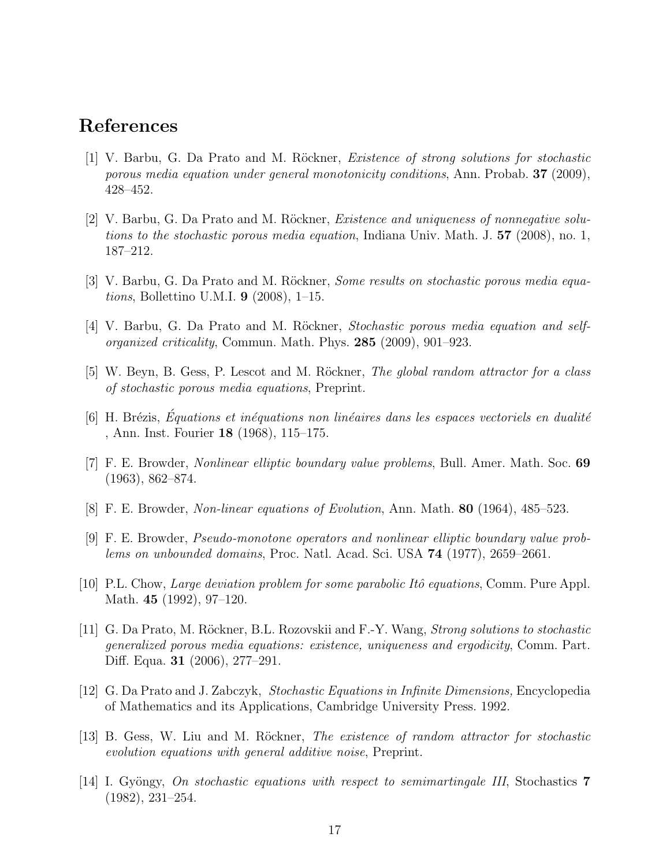#### References

- [1] V. Barbu, G. Da Prato and M. Röckner, *Existence of strong solutions for stochastic* porous media equation under general monotonicity conditions, Ann. Probab. 37 (2009), 428–452.
- [2] V. Barbu, G. Da Prato and M. Röckner, *Existence and uniqueness of nonnegative solu*tions to the stochastic porous media equation, Indiana Univ. Math. J. 57 (2008), no. 1, 187–212.
- [3] V. Barbu, G. Da Prato and M. Röckner, *Some results on stochastic porous media equa*tions, Bollettino U.M.I. 9 (2008), 1–15.
- [4] V. Barbu, G. Da Prato and M. Röckner, *Stochastic porous media equation and self*organized criticality, Commun. Math. Phys. 285 (2009), 901–923.
- [5] W. Beyn, B. Gess, P. Lescot and M. Röckner, *The global random attractor for a class* of stochastic porous media equations, Preprint.
- $[6]$  H. Brézis, Équations et inéquations non linéaires dans les espaces vectoriels en dualité , Ann. Inst. Fourier 18 (1968), 115–175.
- [7] F. E. Browder, Nonlinear elliptic boundary value problems, Bull. Amer. Math. Soc. 69 (1963), 862–874.
- [8] F. E. Browder, Non-linear equations of Evolution, Ann. Math. 80 (1964), 485–523.
- [9] F. E. Browder, Pseudo-monotone operators and nonlinear elliptic boundary value problems on unbounded domains, Proc. Natl. Acad. Sci. USA 74 (1977), 2659–2661.
- [10] P.L. Chow, *Large deviation problem for some parabolic Itô equations*, Comm. Pure Appl. Math. 45 (1992), 97–120.
- [11] G. Da Prato, M. Röckner, B.L. Rozovskii and F.-Y. Wang, *Strong solutions to stochastic* generalized porous media equations: existence, uniqueness and ergodicity, Comm. Part. Diff. Equa. 31 (2006), 277–291.
- [12] G. Da Prato and J. Zabczyk, Stochastic Equations in Infinite Dimensions, Encyclopedia of Mathematics and its Applications, Cambridge University Press. 1992.
- [13] B. Gess, W. Liu and M. Röckner, *The existence of random attractor for stochastic* evolution equations with general additive noise, Preprint.
- [14] I. Gyöngy, On stochastic equations with respect to semimartingale III, Stochastics  $7$ (1982), 231–254.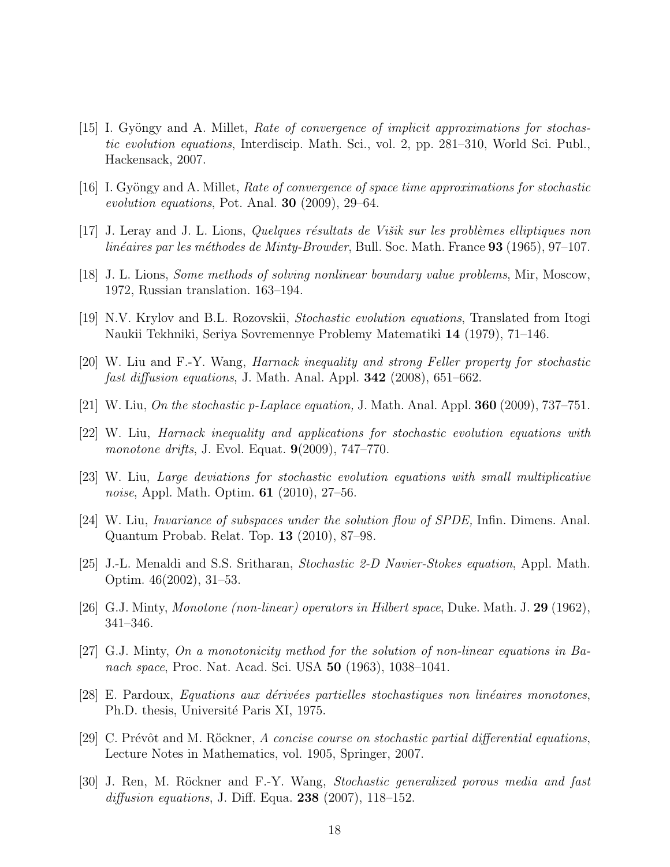- [15] I. Gyöngy and A. Millet, *Rate of convergence of implicit approximations for stochas*tic evolution equations, Interdiscip. Math. Sci., vol. 2, pp. 281–310, World Sci. Publ., Hackensack, 2007.
- [16] I. Gyöngy and A. Millet, Rate of convergence of space time approximations for stochastic evolution equations, Pot. Anal. 30 (2009), 29–64.
- $[17]$  J. Leray and J. L. Lions, Quelques résultats de Višik sur les problèmes elliptiques non linéaires par les méthodes de Minty-Browder, Bull. Soc. Math. France  $93$  (1965), 97–107.
- [18] J. L. Lions, Some methods of solving nonlinear boundary value problems, Mir, Moscow, 1972, Russian translation. 163–194.
- [19] N.V. Krylov and B.L. Rozovskii, Stochastic evolution equations, Translated from Itogi Naukii Tekhniki, Seriya Sovremennye Problemy Matematiki 14 (1979), 71–146.
- [20] W. Liu and F.-Y. Wang, Harnack inequality and strong Feller property for stochastic fast diffusion equations, J. Math. Anal. Appl.  $342$  (2008), 651–662.
- [21] W. Liu, On the stochastic p-Laplace equation, J. Math. Anal. Appl.  $360$  (2009), 737–751.
- [22] W. Liu, Harnack inequality and applications for stochastic evolution equations with monotone drifts, J. Evol. Equat. 9(2009), 747–770.
- [23] W. Liu, Large deviations for stochastic evolution equations with small multiplicative noise, Appl. Math. Optim. **61** (2010), 27–56.
- [24] W. Liu, Invariance of subspaces under the solution flow of SPDE, Infin. Dimens. Anal. Quantum Probab. Relat. Top. 13 (2010), 87–98.
- [25] J.-L. Menaldi and S.S. Sritharan, Stochastic 2-D Navier-Stokes equation, Appl. Math. Optim. 46(2002), 31–53.
- [26] G.J. Minty, Monotone (non-linear) operators in Hilbert space, Duke. Math. J. 29 (1962), 341–346.
- [27] G.J. Minty, On a monotonicity method for the solution of non-linear equations in Banach space, Proc. Nat. Acad. Sci. USA **50** (1963), 1038–1041.
- [28] E. Pardoux, Equations aux dérivées partielles stochastiques non linéaires monotones, Ph.D. thesis, Université Paris XI, 1975.
- [29] C. Prévôt and M. Röckner, A concise course on stochastic partial differential equations, Lecture Notes in Mathematics, vol. 1905, Springer, 2007.
- [30] J. Ren, M. Röckner and F.-Y. Wang, Stochastic generalized porous media and fast diffusion equations, J. Diff. Equa.  $238$  (2007), 118–152.